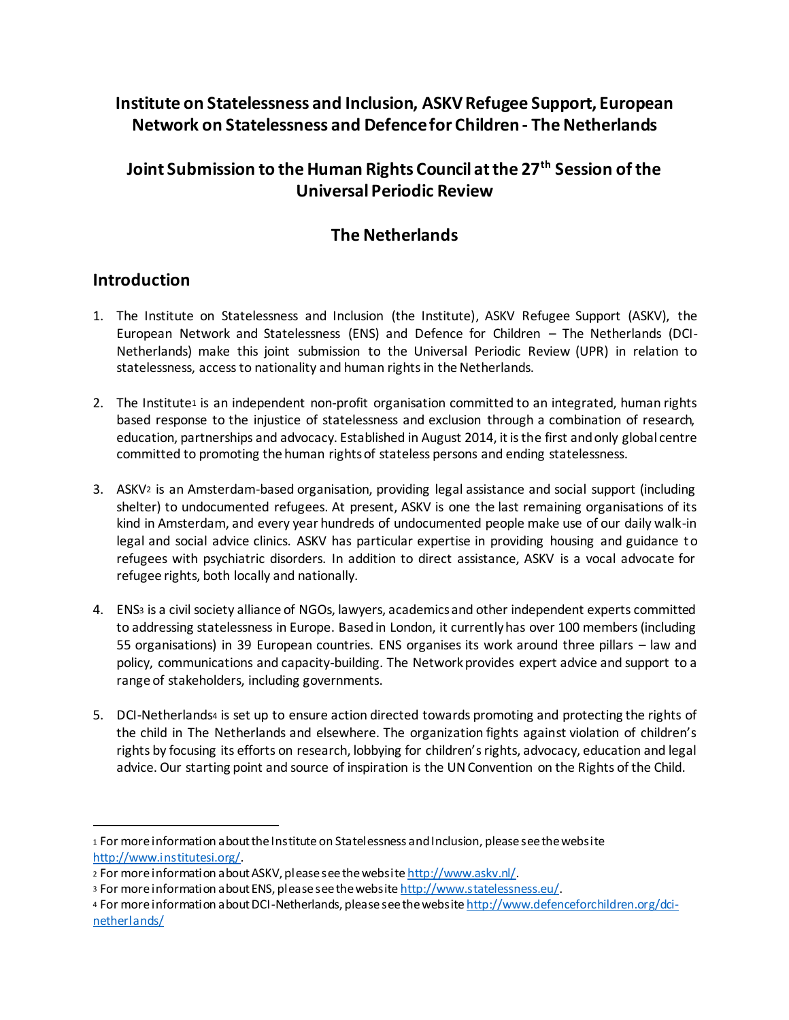# **Institute on Statelessness and Inclusion, ASKV Refugee Support, European Network on Statelessness and Defence for Children - The Netherlands**

# **Joint Submission to the Human Rights Council at the 27th Session of the Universal Periodic Review**

### **The Netherlands**

#### **Introduction**

- 1. The Institute on Statelessness and Inclusion (the Institute), ASKV Refugee Support (ASKV), the European Network and Statelessness (ENS) and Defence for Children – The Netherlands (DCI-Netherlands) make this joint submission to the Universal Periodic Review (UPR) in relation to statelessness, access to nationality and human rights in the Netherlands.
- 2. The Institute<sup>1</sup> is an independent non-profit organisation committed to an integrated, human rights based response to the injustice of statelessness and exclusion through a combination of research, education, partnerships and advocacy. Established in August 2014, it is the first and only global centre committed to promoting the human rights of stateless persons and ending statelessness.
- 3. ASKV<sup>2</sup> is an Amsterdam-based organisation, providing legal assistance and social support (including shelter) to undocumented refugees. At present, ASKV is one the last remaining organisations of its kind in Amsterdam, and every year hundreds of undocumented people make use of our daily walk-in legal and social advice clinics. ASKV has particular expertise in providing housing and guidance to refugees with psychiatric disorders. In addition to direct assistance, ASKV is a vocal advocate for refugee rights, both locally and nationally.
- 4. ENS<sup>3</sup> is a civil society alliance of NGOs, lawyers, academics and other independent experts committed to addressing statelessness in Europe. Based in London, it currently has over 100 members (including 55 organisations) in 39 European countries. ENS organises its work around three pillars – law and policy, communications and capacity-building. The Network provides expert advice and support to a range of stakeholders, including governments.
- 5. DCI-Netherlands<sup>4</sup> is set up to ensure action directed towards promoting and protecting the rights of the child in The Netherlands and elsewhere. The organization fights against violation of children's rights by focusing its efforts on research, lobbying for children's rights, advocacy, education and legal advice. Our starting point and source of inspiration is the UN Convention on the Rights of the Child.

<sup>1</sup> For more information about the Institute on Statelessness and Inclusion, please see the website http://www.institutesi.org/.

<sup>2</sup> For more information about ASKV, please see the website http://www.askv.nl/.

<sup>3</sup> For more information about ENS, please see the website http://www.statelessness.eu/.

<sup>4</sup> For more information about DCI-Netherlands, please see the website http://www.defenceforchildren.org/dcinetherlands/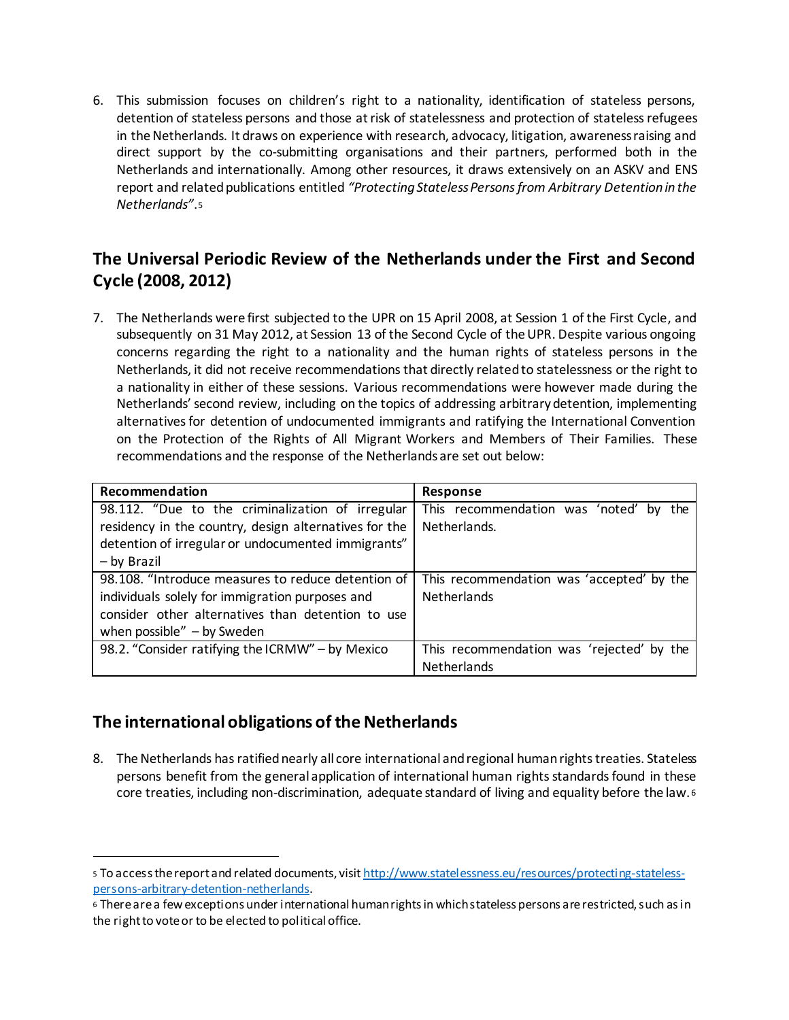6. This submission focuses on children's right to a nationality, identification of stateless persons, detention of stateless persons and those at risk of statelessness and protection of stateless refugees in the Netherlands. It draws on experience with research, advocacy, litigation, awareness raising and direct support by the co-submitting organisations and their partners, performed both in the Netherlands and internationally. Among other resources, it draws extensively on an ASKV and ENS report and related publications entitled *"Protecting Stateless Persons from Arbitrary Detention in the Netherlands"*.<sup>5</sup>

# **The Universal Periodic Review of the Netherlands under the First and Second Cycle (2008, 2012)**

7. The Netherlands were first subjected to the UPR on 15 April 2008, at Session 1 of the First Cycle, and subsequently on 31 May 2012, at Session 13 of the Second Cycle of the UPR. Despite various ongoing concerns regarding the right to a nationality and the human rights of stateless persons in the Netherlands, it did not receive recommendations that directly relatedto statelessness or the right to a nationality in either of these sessions. Various recommendations were however made during the Netherlands'second review, including on the topics of addressing arbitrary detention, implementing alternatives for detention of undocumented immigrants and ratifying the International Convention on the Protection of the Rights of All Migrant Workers and Members of Their Families. These recommendations and the response of the Netherlands are set out below:

| Recommendation                                        | <b>Response</b>                           |
|-------------------------------------------------------|-------------------------------------------|
| 98.112. "Due to the criminalization of irregular      | This recommendation was 'noted' by<br>the |
| residency in the country, design alternatives for the | Netherlands.                              |
| detention of irregular or undocumented immigrants"    |                                           |
| - by Brazil                                           |                                           |
| 98.108. "Introduce measures to reduce detention of    | This recommendation was 'accepted' by the |
| individuals solely for immigration purposes and       | <b>Netherlands</b>                        |
| consider other alternatives than detention to use     |                                           |
| when possible" $-$ by Sweden                          |                                           |
| 98.2. "Consider ratifying the ICRMW" - by Mexico      | This recommendation was 'rejected' by the |
|                                                       | Netherlands                               |

#### **The international obligations of the Netherlands**

l

8. The Netherlands has ratified nearly all core international and regional human rights treaties. Stateless persons benefit from the general application of international human rights standards found in these core treaties, including non-discrimination, adequate standard of living and equality before the law. <sup>6</sup>

<sup>5</sup> To access the report and related documents, visit http://www.statelessness.eu/resources/protecting-statelesspersons-arbitrary-detention-netherlands.

<sup>6</sup> There are a few exceptions under international human rights in which stateless persons are restricted, such as in the right to vote or to be elected to political office.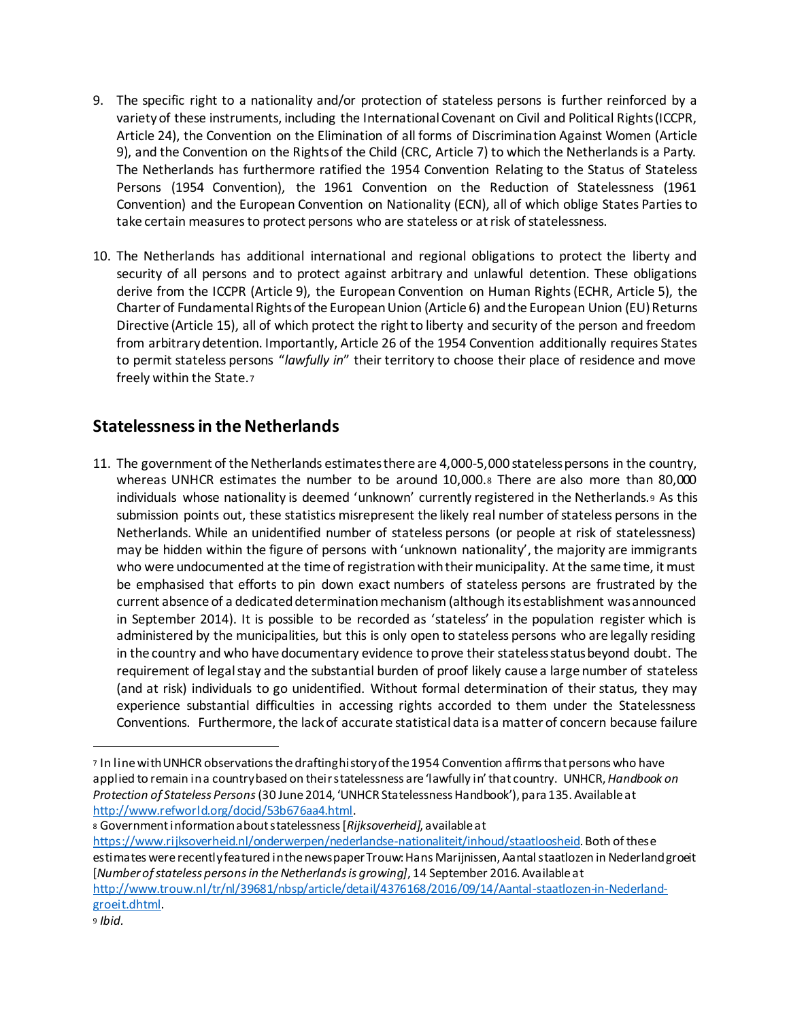- 9. The specific right to a nationality and/or protection of stateless persons is further reinforced by a varietyof these instruments, including the International Covenant on Civil and Political Rights (ICCPR, Article 24), the Convention on the Elimination of all forms of Discrimination Against Women (Article 9), and the Convention on the Rights of the Child (CRC, Article 7) to which the Netherlands is a Party. The Netherlands has furthermore ratified the 1954 Convention Relating to the Status of Stateless Persons (1954 Convention), the 1961 Convention on the Reduction of Statelessness (1961 Convention) and the European Convention on Nationality (ECN), all of which oblige States Parties to take certain measures to protect persons who are stateless or at risk of statelessness.
- 10. The Netherlands has additional international and regional obligations to protect the liberty and security of all persons and to protect against arbitrary and unlawful detention. These obligations derive from the ICCPR (Article 9), the European Convention on Human Rights (ECHR, Article 5), the Charter of Fundamental Rights of the European Union (Article 6) and the European Union (EU) Returns Directive (Article 15), all of which protect the right to liberty and security of the person and freedom from arbitrary detention. Importantly, Article 26 of the 1954 Convention additionally requires States to permit stateless persons "*lawfully in*" their territory to choose their place of residence and move freely within the State.<sup>7</sup>

### **Statelessnessin the Netherlands**

11. The government of the Netherlands estimates there are 4,000-5,000 stateless persons in the country, whereas UNHCR estimates the number to be around 10,000.<sup>8</sup> There are also more than 80,000 individuals whose nationality is deemed 'unknown' currently registered in the Netherlands.<sup>9</sup> As this submission points out, these statistics misrepresent the likely real number of stateless persons in the Netherlands. While an unidentified number of stateless persons (or people at risk of statelessness) may be hidden within the figure of persons with 'unknown nationality', the majority are immigrants who were undocumented at the time of registration with their municipality. At the same time, it must be emphasised that efforts to pin down exact numbers of stateless persons are frustrated by the current absence of a dedicated determination mechanism (although its establishment was announced in September 2014). It is possible to be recorded as 'stateless' in the population register which is administered by the municipalities, but this is only open to stateless persons who are legally residing in the country and who have documentary evidence to prove their stateless status beyond doubt. The requirement of legal stay and the substantial burden of proof likely cause a large number of stateless (and at risk) individuals to go unidentified. Without formal determination of their status, they may experience substantial difficulties in accessing rights accorded to them under the Statelessness Conventions. Furthermore, the lack of accurate statistical data is a matter of concern because failure

<sup>8</sup> Government information about statelessness [*Rijksoverheid]*, available at https://www.rijksoverheid.nl/onderwerpen/nederlandse-nationaliteit/inhoud/staatloosheid. Both of these estimates were recently featured in the newspaper Trouw: Hans Marijnissen, Aantal staatlozen in Nederland groeit [*Number of stateless persons in the Netherlands is growing]*, 14 September 2016. Available at http://www.trouw.nl/tr/nl/39681/nbsp/article/detail/4376168/2016/09/14/Aantal-staatlozen-in-Nederlandgroeit.dhtml.

1

<sup>7</sup> In line with UNHCR observations the drafting history of the 1954 Convention affirms that persons who have applied to remain in a country based on their statelessness are 'lawfully in' that country. UNHCR,*Handbook on Protection of Stateless Persons*(30 June 2014, 'UNHCR Statelessness Handbook'), para 135. Available at http://www.refworld.org/docid/53b676aa4.html.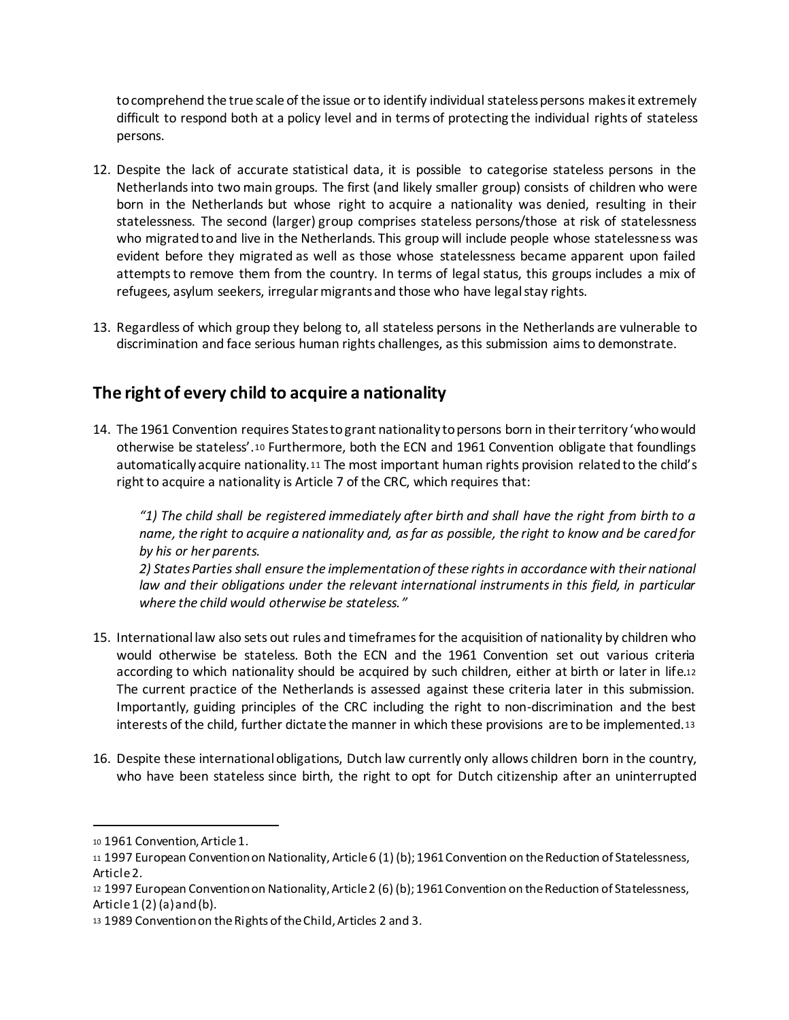to comprehend the true scale of the issue or to identify individual stateless persons makes it extremely difficult to respond both at a policy level and in terms of protecting the individual rights of stateless persons.

- 12. Despite the lack of accurate statistical data, it is possible to categorise stateless persons in the Netherlands into two main groups. The first (and likely smaller group) consists of children who were born in the Netherlands but whose right to acquire a nationality was denied, resulting in their statelessness. The second (larger) group comprises stateless persons/those at risk of statelessness who migrated to and live in the Netherlands. This group will include people whose statelessness was evident before they migrated as well as those whose statelessness became apparent upon failed attempts to remove them from the country. In terms of legal status, this groups includes a mix of refugees, asylum seekers, irregular migrants and those who have legal stay rights.
- 13. Regardless of which group they belong to, all stateless persons in the Netherlands are vulnerable to discrimination and face serious human rights challenges, as this submission aims to demonstrate.

### **The right of every child to acquire a nationality**

14. The 1961 Convention requires States to grant nationality to persons born in their territory 'who would otherwise be stateless'.<sup>10</sup> Furthermore, both the ECN and 1961 Convention obligate that foundlings automatically acquire nationality.<sup>11</sup> The most important human rights provision related to the child's right to acquire a nationality is Article 7 of the CRC, which requires that:

*"1) The child shall be registered immediately after birth and shall have the right from birth to a name, the right to acquire a nationality and, as far as possible, the right to know and be cared for by his or her parents.* 

*2) States Parties shall ensure the implementation of these rights in accordance with their national*  law and their obligations under the relevant international instruments in this field, in particular *where the child would otherwise be stateless."*

- 15. International law also sets out rules and timeframes for the acquisition of nationality by children who would otherwise be stateless. Both the ECN and the 1961 Convention set out various criteria according to which nationality should be acquired by such children, either at birth or later in life.<sup>12</sup> The current practice of the Netherlands is assessed against these criteria later in this submission. Importantly, guiding principles of the CRC including the right to non-discrimination and the best interests of the child, further dictate the manner in which these provisions are to be implemented.<sup>13</sup>
- 16. Despite these international obligations, Dutch law currently only allows children born in the country, who have been stateless since birth, the right to opt for Dutch citizenship after an uninterrupted

<sup>10</sup> 1961 Convention, Article 1.

<sup>11</sup> 1997 European Convention on Nationality, Article 6 (1) (b); 1961 Convention on the Reduction of Statelessness, Article 2.

<sup>12</sup> 1997 European Convention on Nationality, Article 2 (6) (b); 1961 Convention on the Reduction of Statelessness, Article  $1(2)(a)$  and  $(b)$ .

<sup>13</sup> 1989 Convention on the Rights of the Child, Articles 2 and 3.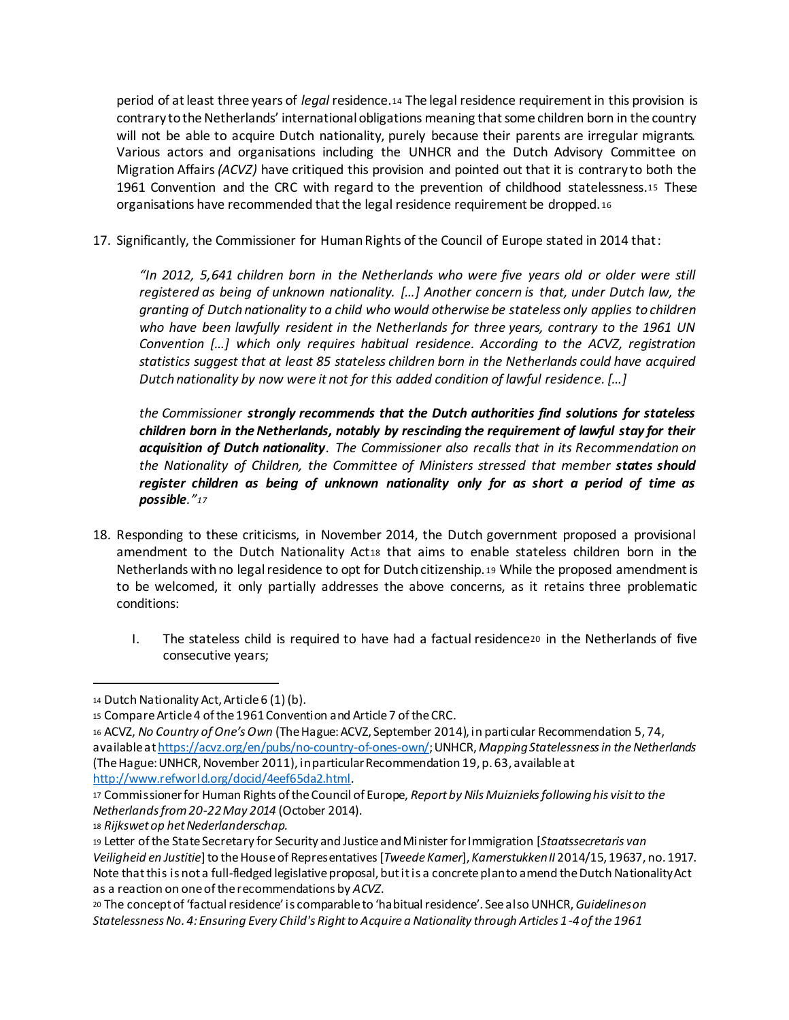period of at least three years of *legal* residence.<sup>14</sup> The legal residence requirement in this provision is contrary to the Netherlands' international obligations meaning that some children born in the country will not be able to acquire Dutch nationality, purely because their parents are irregular migrants. Various actors and organisations including the UNHCR and the Dutch Advisory Committee on Migration Affairs *(ACVZ)* have critiqued this provision and pointed out that it is contrary to both the 1961 Convention and the CRC with regard to the prevention of childhood statelessness.<sup>15</sup> These organisations have recommended that the legal residence requirement be dropped. <sup>16</sup>

17. Significantly, the Commissioner for Human Rights of the Council of Europe stated in 2014 that:

*"In 2012, 5,641 children born in the Netherlands who were five years old or older were still registered as being of unknown nationality. […] Another concern is that, under Dutch law, the granting of Dutch nationality to a child who would otherwise be stateless only applies to children who have been lawfully resident in the Netherlands for three years, contrary to the 1961 UN Convention […] which only requires habitual residence. According to the ACVZ, registration statistics suggest that at least 85 stateless children born in the Netherlands could have acquired Dutch nationality by now were it not for this added condition of lawful residence. […]*

*the Commissioner strongly recommends that the Dutch authorities find solutions for stateless children born in the Netherlands, notably by rescinding the requirement of lawful stay for their acquisition of Dutch nationality. The Commissioner also recalls that in its Recommendation on the Nationality of Children, the Committee of Ministers stressed that member states should register children as being of unknown nationality only for as short a period of time as possible."<sup>17</sup>*

- 18. Responding to these criticisms, in November 2014, the Dutch government proposed a provisional amendment to the Dutch Nationality Act18 that aims to enable stateless children born in the Netherlands with no legal residence to opt for Dutch citizenship. <sup>19</sup> While the proposed amendment is to be welcomed, it only partially addresses the above concerns, as it retains three problematic conditions:
	- I. The stateless child is required to have had a factual residence<sup>20</sup> in the Netherlands of five consecutive years;

<sup>14</sup> Dutch Nationality Act, Article 6 (1) (b).

<sup>15</sup> Compare Article 4 of the 1961 Convention and Article 7 of the CRC.

<sup>16</sup> ACVZ, *No Country of One's Own* (The Hague: ACVZ, September 2014), in particular Recommendation 5, 74, available at https://acvz.org/en/pubs/no-country-of-ones-own/; UNHCR, *Mapping Statelessness in the Netherlands* (The Hague: UNHCR, November 2011), in particular Recommendation 19, p. 63, available at http://www.refworld.org/docid/4eef65da2.html.

<sup>17</sup> Commissioner for Human Rights of the Council of Europe, *Report by Nils Muiznieks following his visit to the Netherlands from 20-22 May 2014* (October 2014).

<sup>18</sup> *Rijkswet op het Nederlanderschap.*

<sup>19</sup> Letter of the State Secretary for Security and Justice and Minister for Immigration [*Staatssecretaris van Veiligheid en Justitie*]to the House of Representatives [*Tweede Kamer*], *Kamerstukken II* 2014/15, 19637, no. 1917. Note that this is not a full-fledged legislative proposal, but it is a concrete plan to amend the Dutch Nationality Act as a reaction on one of the recommendations by *ACVZ*.

<sup>20</sup> The concept of 'factual residence' is comparable to 'habitual residence'. See also UNHCR, *Guidelines on Statelessness No. 4: Ensuring Every Child's Right to Acquire a Nationality through Articles 1-4 of the 1961*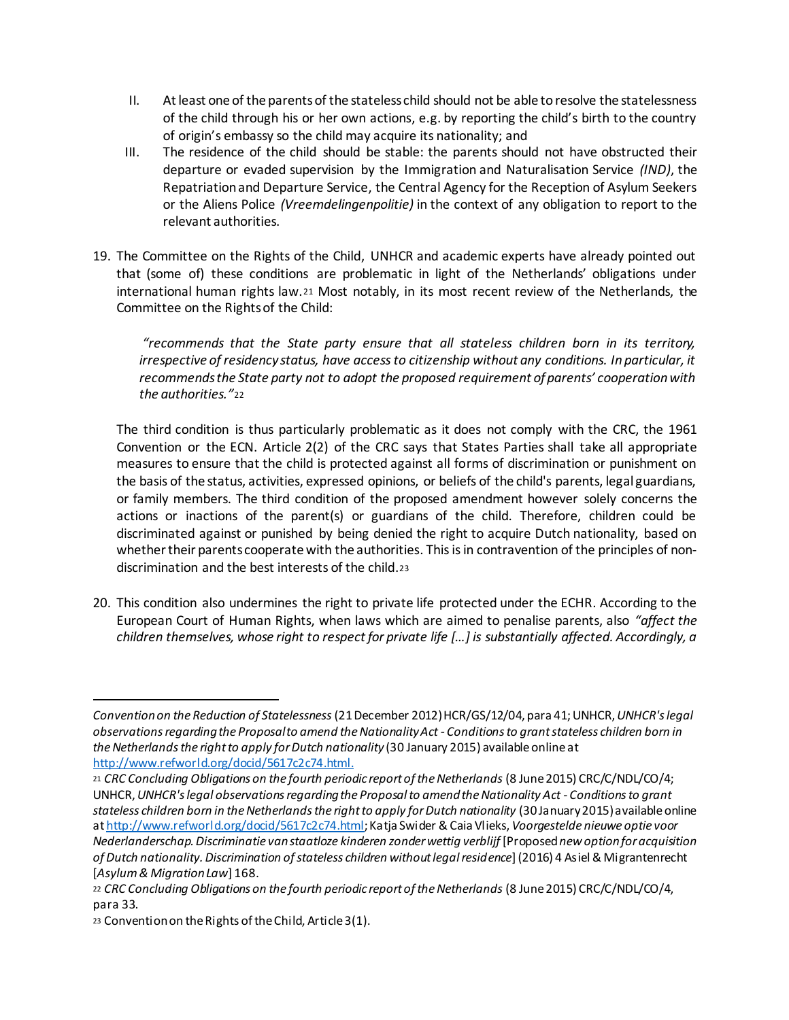- II. At least one of the parents of the stateless child should not be able to resolve the statelessness of the child through his or her own actions, e.g. by reporting the child's birth to the country of origin's embassy so the child may acquire its nationality; and
- III. The residence of the child should be stable: the parents should not have obstructed their departure or evaded supervision by the Immigration and Naturalisation Service *(IND)*, the Repatriation and Departure Service, the Central Agency for the Reception of Asylum Seekers or the Aliens Police *(Vreemdelingenpolitie)* in the context of any obligation to report to the relevant authorities.
- 19. The Committee on the Rights of the Child, UNHCR and academic experts have already pointed out that (some of) these conditions are problematic in light of the Netherlands' obligations under international human rights law.<sup>21</sup> Most notably, in its most recent review of the Netherlands, the Committee on the Rights of the Child:

*"recommends that the State party ensure that all stateless children born in its territory, irrespective of residency status, have access to citizenship without any conditions. In particular, it recommends the State party not to adopt the proposed requirement of parents' cooperation with the authorities."*<sup>22</sup>

The third condition is thus particularly problematic as it does not comply with the CRC, the 1961 Convention or the ECN. Article 2(2) of the CRC says that States Parties shall take all appropriate measures to ensure that the child is protected against all forms of discrimination or punishment on the basis of the status, activities, expressed opinions, or beliefs of the child's parents, legal guardians, or family members. The third condition of the proposed amendment however solely concerns the actions or inactions of the parent(s) or guardians of the child. Therefore, children could be discriminated against or punished by being denied the right to acquire Dutch nationality, based on whether their parents cooperate with the authorities. This is in contravention of the principles of nondiscrimination and the best interests of the child.<sup>23</sup>

20. This condition also undermines the right to private life protected under the ECHR. According to the European Court of Human Rights, when laws which are aimed to penalise parents, also *"affect the children themselves, whose right to respect for private life […] is substantially affected. Accordingly, a* 

1

*Convention on the Reduction of Statelessness*(21 December 2012) HCR/GS/12/04, para 41; UNHCR, *UNHCR's legal observations regarding the Proposal to amend the Nationality Act - Conditions to grant stateless children born in the Netherlands the right to apply for Dutch nationality* (30 January 2015) available online at http://www.refworld.org/docid/5617c2c74.html.

<sup>21</sup> *CRC Concluding Obligations on the fourth periodic report of the Netherlands* (8 June 2015) CRC/C/NDL/CO/4; UNHCR, *UNHCR's legal observations regarding the Proposal to amend the Nationality Act - Conditions to grant stateless children born in the Netherlands the right to apply for Dutch nationality* (30 January2015) available online at http://www.refworld.org/docid/5617c2c74.html; Katja Swider & Caia Vlieks, *Voorgestelde nieuwe optie voor Nederlanderschap. Discriminatie van staatloze kinderen zonder wettig verblijf* [Proposed*new option for acquisition of Dutch nationality. Discrimination of stateless children without legal residence*] (2016) 4 Asiel & Migrantenrecht [*Asylum & Migration Law*] 168.

<sup>22</sup> *CRC Concluding Obligations on the fourth periodic report of the Netherlands* (8 June 2015) CRC/C/NDL/CO/4, para 33.

<sup>23</sup> Convention on the Rights of the Child, Article 3(1).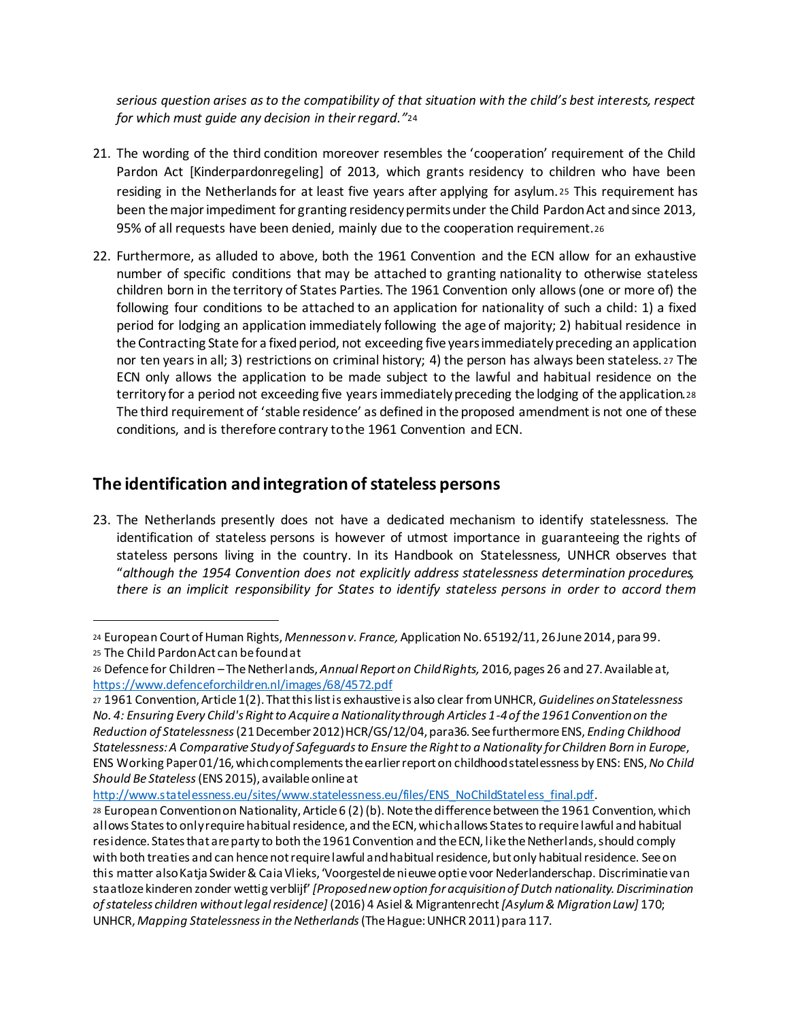*serious question arises as to the compatibility of that situation with the child's best interests, respect for which must guide any decision in their regard."*<sup>24</sup>

- 21. The wording of the third condition moreover resembles the 'cooperation' requirement of the Child Pardon Act [Kinderpardonregeling] of 2013, which grants residency to children who have been residing in the Netherlands for at least five years after applying for asylum. <sup>25</sup> This requirement has been the major impediment for granting residency permits under the Child Pardon Act and since 2013, 95% of all requests have been denied, mainly due to the cooperation requirement.<sup>26</sup>
- 22. Furthermore, as alluded to above, both the 1961 Convention and the ECN allow for an exhaustive number of specific conditions that may be attached to granting nationality to otherwise stateless children born in the territory of States Parties. The 1961 Convention only allows (one or more of) the following four conditions to be attached to an application for nationality of such a child: 1) a fixed period for lodging an application immediately following the age of majority; 2) habitual residence in the Contracting State for a fixed period, not exceeding five years immediately preceding an application nor ten years in all; 3) restrictions on criminal history; 4) the person has always been stateless. <sup>27</sup> The ECN only allows the application to be made subject to the lawful and habitual residence on the territory for a period not exceeding five years immediately preceding the lodging of the application.<sup>28</sup> The third requirement of 'stable residence' as defined in the proposed amendment is not one of these conditions, and is therefore contrary to the 1961 Convention and ECN.

## **The identification and integration of stateless persons**

l

23. The Netherlands presently does not have a dedicated mechanism to identify statelessness. The identification of stateless persons is however of utmost importance in guaranteeing the rights of stateless persons living in the country. In its Handbook on Statelessness, UNHCR observes that "*although the 1954 Convention does not explicitly address statelessness determination procedures, there is an implicit responsibility for States to identify stateless persons in order to accord them* 

http://www.statelessness.eu/sites/www.statelessness.eu/files/ENS\_NoChildStateless\_final.pdf.

<sup>24</sup> European Court of Human Rights, *Mennesson v. France,* Application No. 65192/11, 26 June 2014, para 99. <sup>25</sup> The Child Pardon Act can be found at

<sup>26</sup> Defence for Children –The Netherlands, *Annual Report on Child Rights,* 2016, pages 26 and 27. Available at, https://www.defenceforchildren.nl/images/68/4572.pdf

<sup>27</sup> 1961 Convention, Article 1(2). That this list is exhaustive is also clear from UNHCR, *Guidelines on Statelessness No. 4: Ensuring Every Child's Right to Acquire a Nationality through Articles 1-4 of the 1961 Convention on the Reduction of Statelessness*(21 December 2012) HCR/GS/12/04, para36. See furthermore ENS, *Ending Childhood Statelessness: A Comparative Study of Safeguards to Ensure the Right to a Nationality for Children Born in Europe*, ENS Working Paper 01/16, which complements the earlier report on childhood statelessness by ENS: ENS, *No Child Should Be Stateless*(ENS 2015), available online at

<sup>28</sup> European Convention on Nationality, Article 6 (2) (b). Note the difference between the 1961 Convention, which allows States to only require habitual residence, and the ECN, which allows States to require lawful and habitual residence. States that are party to both the 1961 Convention and the ECN, like the Netherlands, should comply with both treaties and can hence not require lawful and habitual residence, but only habitual residence. See on this matter alsoKatja Swider & Caia Vlieks, 'Voorgestelde nieuwe optie voor Nederlanderschap. Discriminatie van staatloze kinderen zonder wettig verblijf' *[Proposed new option for acquisition of Dutch nationality. Discrimination of stateless children without legal residence]* (2016) 4 Asiel & Migrantenrecht *[Asylum & Migration Law]* 170; UNHCR, *Mapping Statelessness in the Netherlands*(The Hague: UNHCR 2011) para 117.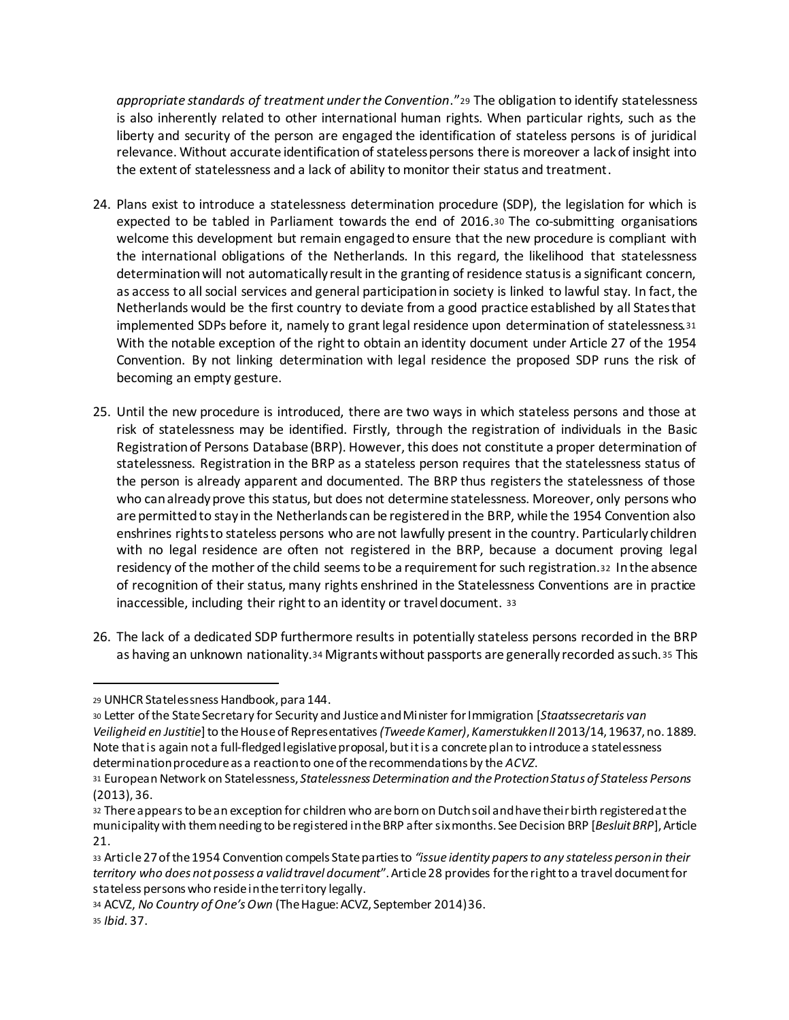*appropriate standards of treatment under the Convention*."<sup>29</sup> The obligation to identify statelessness is also inherently related to other international human rights. When particular rights, such as the liberty and security of the person are engaged the identification of stateless persons is of juridical relevance. Without accurate identification of stateless persons there is moreover a lack of insight into the extent of statelessness and a lack of ability to monitor their status and treatment.

- 24. Plans exist to introduce a statelessness determination procedure (SDP), the legislation for which is expected to be tabled in Parliament towards the end of 2016.<sup>30</sup> The co-submitting organisations welcome this development but remain engaged to ensure that the new procedure is compliant with the international obligations of the Netherlands. In this regard, the likelihood that statelessness determination will not automatically result in the granting of residence status is a significant concern, as access to all social services and general participation in society is linked to lawful stay. In fact, the Netherlands would be the first country to deviate from a good practice established by all States that implemented SDPs before it, namely to grant legal residence upon determination of statelessness.<sup>31</sup> With the notable exception of the right to obtain an identity document under Article 27 of the 1954 Convention. By not linking determination with legal residence the proposed SDP runs the risk of becoming an empty gesture.
- 25. Until the new procedure is introduced, there are two ways in which stateless persons and those at risk of statelessness may be identified. Firstly, through the registration of individuals in the Basic Registration of Persons Database (BRP). However, this does not constitute a proper determination of statelessness. Registration in the BRP as a stateless person requires that the statelessness status of the person is already apparent and documented. The BRP thus registers the statelessness of those who can already prove this status, but does not determine statelessness. Moreover, only persons who are permitted to stay in the Netherlands can be registered in the BRP, while the 1954 Convention also enshrines rights to stateless persons who are not lawfully present in the country. Particularly children with no legal residence are often not registered in the BRP, because a document proving legal residency of the mother of the child seems to be a requirement for such registration.32 In the absence of recognition of their status, many rights enshrined in the Statelessness Conventions are in practice inaccessible, including their right to an identity or travel document. <sup>33</sup>
- 26. The lack of a dedicated SDP furthermore results in potentially stateless persons recorded in the BRP as having an unknown nationality.<sup>34</sup> Migrants without passports are generally recorded as such. <sup>35</sup> This

<sup>29</sup> UNHCR Statelessness Handbook, para 144.

<sup>30</sup> Letter of the State Secretary for Security and Justice and Minister for Immigration [*Staatssecretaris van Veiligheid en Justitie*]to the House of Representatives *(Tweede Kamer)*, *Kamerstukken II* 2013/14, 19637, no. 1889. Note that is again not a full-fledged legislative proposal, but it is a concrete plan to introduce a statelessness determination procedure as a reaction to one of the recommendations by the *ACVZ*.

<sup>31</sup> European Network on Statelessness, *Statelessness Determination and the Protection Status of Stateless Persons* (2013), 36.

<sup>32</sup> There appearsto be an exception for children who are born on Dutch soil and have their birth registered at the municipality with them needing to be registered in the BRP after six months. See Decision BRP [*Besluit BRP*], Article 21.

<sup>33</sup> Article 27 of the 1954 Convention compels State parties to *"issue identity papers to any stateless person in their territory who does not possess a valid travel document*". Article 28 provides for the right to a travel document for stateless persons who reside in the territory legally.

<sup>34</sup> ACVZ, *No Country of One's Own* (The Hague: ACVZ, September 2014) 36. <sup>35</sup> *Ibid.* 37.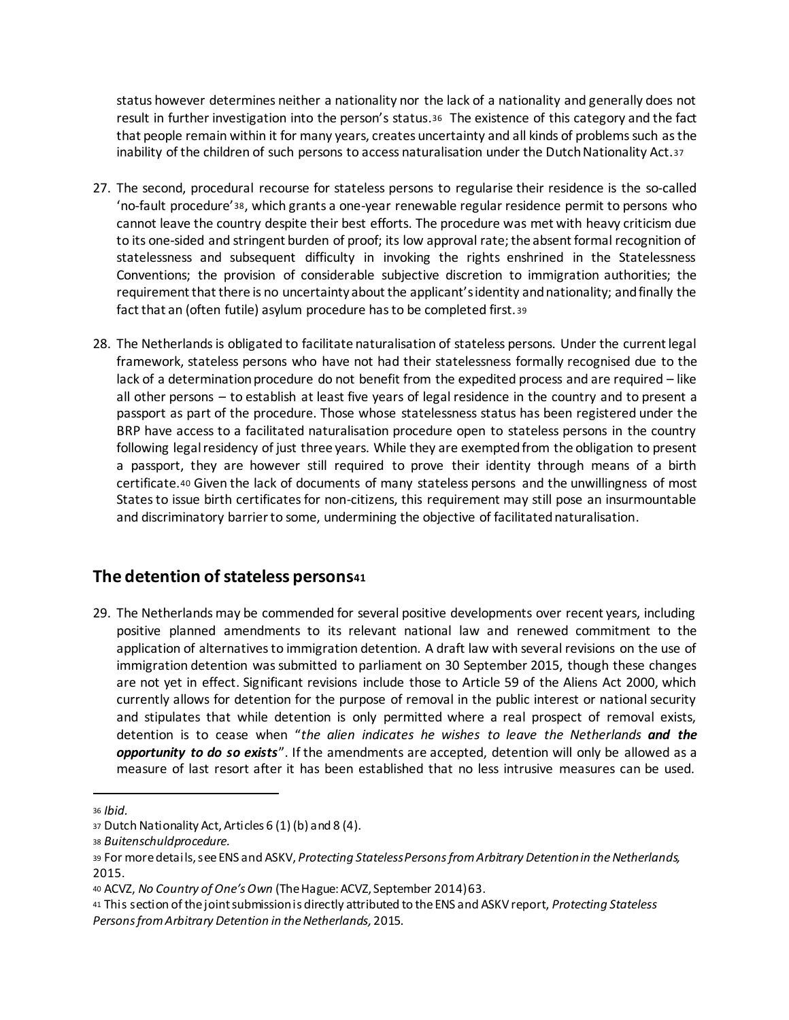status however determines neither a nationality nor the lack of a nationality and generally does not result in further investigation into the person's status.36 The existence of this category and the fact that people remain within it for many years, creates uncertainty and all kinds of problems such as the inability of the children of such persons to access naturalisation under the Dutch Nationality Act.<sup>37</sup>

- 27. The second, procedural recourse for stateless persons to regularise their residence is the so-called 'no-fault procedure'38, which grants a one-year renewable regular residence permit to persons who cannot leave the country despite their best efforts. The procedure was met with heavy criticism due to its one-sided and stringent burden of proof; its low approval rate; the absent formal recognition of statelessness and subsequent difficulty in invoking the rights enshrined in the Statelessness Conventions; the provision of considerable subjective discretion to immigration authorities; the requirement that there is no uncertainty about the applicant's identity and nationality; and finally the fact that an (often futile) asylum procedure has to be completed first. <sup>39</sup>
- 28. The Netherlands is obligated to facilitate naturalisation of stateless persons. Under the current legal framework, stateless persons who have not had their statelessness formally recognised due to the lack of a determination procedure do not benefit from the expedited process and are required – like all other persons – to establish at least five years of legal residence in the country and to present a passport as part of the procedure. Those whose statelessness status has been registered under the BRP have access to a facilitated naturalisation procedure open to stateless persons in the country following legal residency of just three years. While they are exempted from the obligation to present a passport, they are however still required to prove their identity through means of a birth certificate.<sup>40</sup> Given the lack of documents of many stateless persons and the unwillingness of most States to issue birth certificates for non-citizens, this requirement may still pose an insurmountable and discriminatory barrier to some, undermining the objective of facilitated naturalisation.

#### **The detention of stateless persons<sup>41</sup>**

29. The Netherlands may be commended for several positive developments over recent years, including positive planned amendments to its relevant national law and renewed commitment to the application of alternatives to immigration detention. A draft law with several revisions on the use of immigration detention was submitted to parliament on 30 September 2015, though these changes are not yet in effect. Significant revisions include those to Article 59 of the Aliens Act 2000, which currently allows for detention for the purpose of removal in the public interest or national security and stipulates that while detention is only permitted where a real prospect of removal exists, detention is to cease when "*the alien indicates he wishes to leave the Netherlands and the opportunity to do so exists*". If the amendments are accepted, detention will only be allowed as a measure of last resort after it has been established that no less intrusive measures can be used.

<sup>36</sup> *Ibid.*

<sup>37</sup> Dutch Nationality Act, Articles 6 (1) (b) and 8 (4).

<sup>38</sup> *Buitenschuldprocedure.* 

<sup>39</sup> For more details, see ENS and ASKV, *Protecting Stateless Persons from Arbitrary Detention in the Netherlands,*  2015.

<sup>40</sup> ACVZ, *No Country of One's Own* (The Hague: ACVZ, September 2014) 63.

<sup>41</sup> This section of the joint submission is directly attributed to the ENS and ASKV report, *Protecting Stateless Persons from Arbitrary Detention in the Netherlands,* 2015.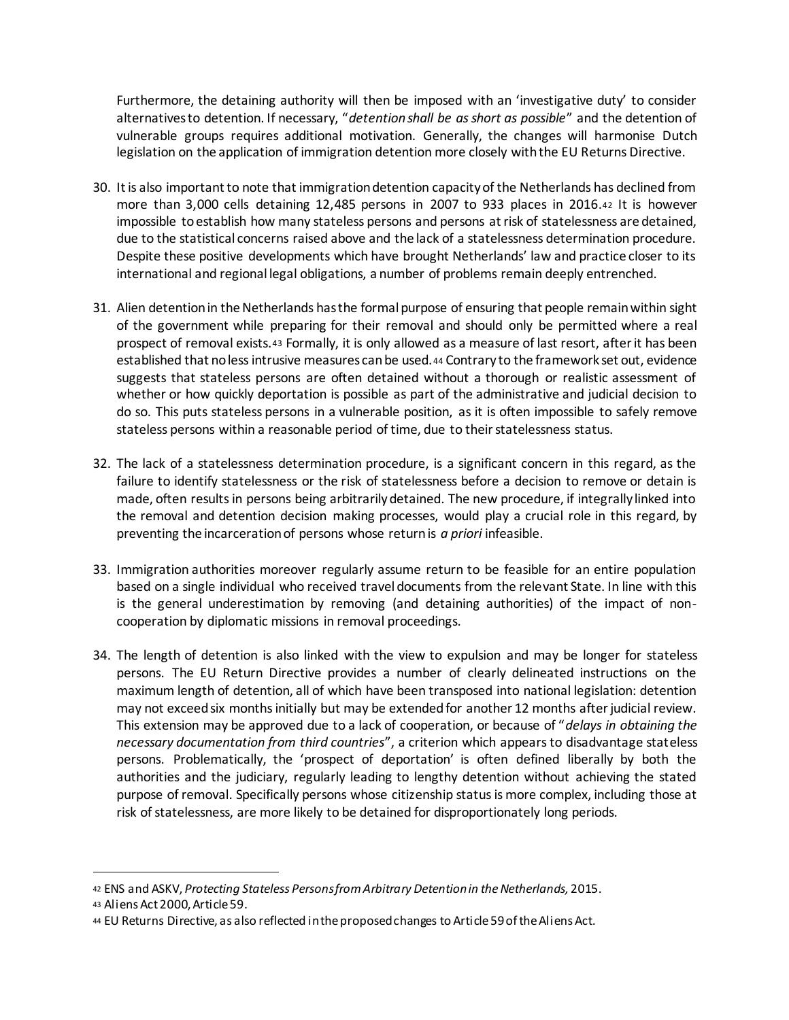Furthermore, the detaining authority will then be imposed with an 'investigative duty' to consider alternatives to detention. If necessary, "*detention shall be as short as possible*" and the detention of vulnerable groups requires additional motivation. Generally, the changes will harmonise Dutch legislation on the application of immigration detention more closely with the EU Returns Directive.

- 30. It is also important to note that immigration detention capacity of the Netherlands has declined from more than 3,000 cells detaining 12,485 persons in 2007 to 933 places in 2016.<sup>42</sup> It is however impossible to establish how many stateless persons and persons at risk of statelessness are detained, due to the statistical concerns raised above and the lack of a statelessness determination procedure. Despite these positive developments which have brought Netherlands' law and practice closer to its international and regional legal obligations, a number of problems remain deeply entrenched.
- 31. Alien detention in the Netherlands has the formal purpose of ensuring that people remain within sight of the government while preparing for their removal and should only be permitted where a real prospect of removal exists.<sup>43</sup> Formally, it is only allowed as a measure of last resort, after it has been established that no less intrusive measures can be used.<sup>44</sup> Contrary to the framework set out, evidence suggests that stateless persons are often detained without a thorough or realistic assessment of whether or how quickly deportation is possible as part of the administrative and judicial decision to do so. This puts stateless persons in a vulnerable position, as it is often impossible to safely remove stateless persons within a reasonable period of time, due to their statelessness status.
- 32. The lack of a statelessness determination procedure, is a significant concern in this regard, as the failure to identify statelessness or the risk of statelessness before a decision to remove or detain is made, often results in persons being arbitrarily detained. The new procedure, if integrally linked into the removal and detention decision making processes, would play a crucial role in this regard, by preventing the incarceration of persons whose return is *a priori* infeasible.
- 33. Immigration authorities moreover regularly assume return to be feasible for an entire population based on a single individual who received travel documents from the relevant State. In line with this is the general underestimation by removing (and detaining authorities) of the impact of noncooperation by diplomatic missions in removal proceedings.
- 34. The length of detention is also linked with the view to expulsion and may be longer for stateless persons. The EU Return Directive provides a number of clearly delineated instructions on the maximum length of detention, all of which have been transposed into national legislation: detention may not exceed six months initially but may be extended for another 12 months after judicial review. This extension may be approved due to a lack of cooperation, or because of "*delays in obtaining the necessary documentation from third countries*", a criterion which appears to disadvantage stateless persons. Problematically, the 'prospect of deportation' is often defined liberally by both the authorities and the judiciary, regularly leading to lengthy detention without achieving the stated purpose of removal. Specifically persons whose citizenship status is more complex, including those at risk of statelessness, are more likely to be detained for disproportionately long periods.

<sup>42</sup> ENS and ASKV, *Protecting Stateless Persons from Arbitrary Detention in the Netherlands,* 2015.

<sup>43</sup> Aliens Act 2000, Article 59.

<sup>44</sup> EU Returns Directive, as also reflected in the proposed changes to Article 59 of the Aliens Act.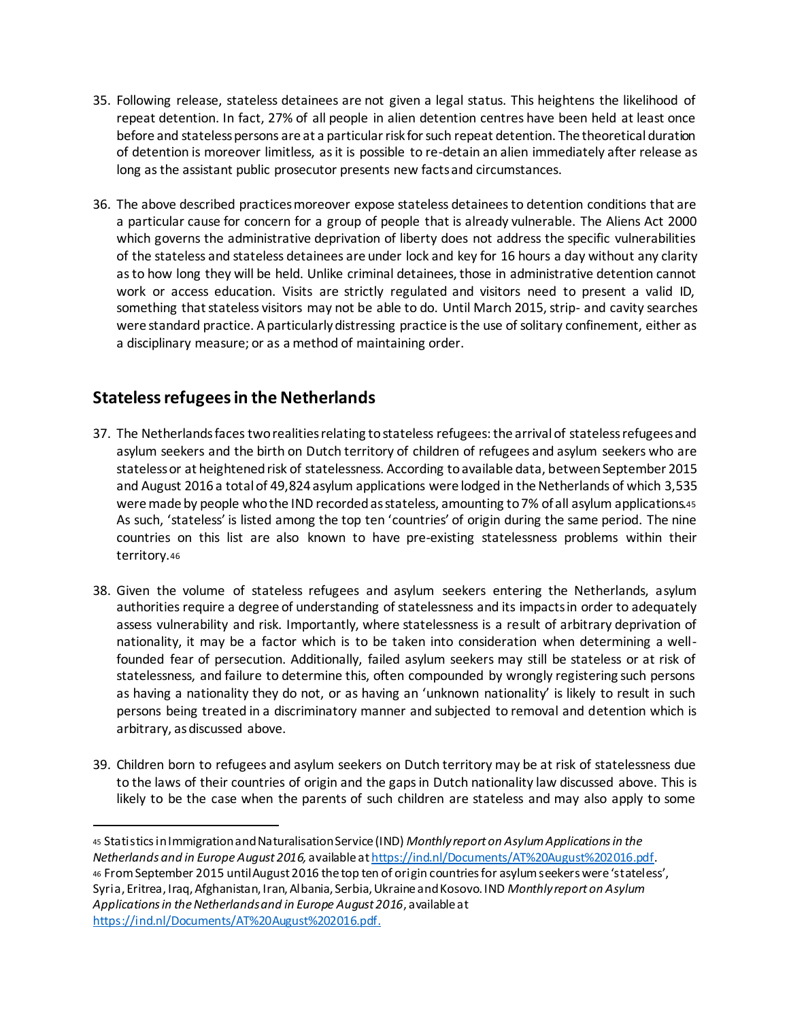- 35. Following release, stateless detainees are not given a legal status. This heightens the likelihood of repeat detention. In fact, 27% of all people in alien detention centres have been held at least once before and stateless persons are at a particular risk for such repeat detention. The theoretical duration of detention is moreover limitless, as it is possible to re-detain an alien immediately after release as long as the assistant public prosecutor presents new facts and circumstances.
- 36. The above described practices moreover expose stateless detainees to detention conditions that are a particular cause for concern for a group of people that is already vulnerable. The Aliens Act 2000 which governs the administrative deprivation of liberty does not address the specific vulnerabilities of the stateless and stateless detainees are under lock and key for 16 hours a day without any clarity as to how long they will be held. Unlike criminal detainees, those in administrative detention cannot work or access education. Visits are strictly regulated and visitors need to present a valid ID, something that stateless visitors may not be able to do. Until March 2015, strip- and cavity searches were standard practice. A particularly distressing practice is the use of solitary confinement, either as a disciplinary measure; or as a method of maintaining order.

### **Stateless refugees in the Netherlands**

- 37. The Netherlands facestwo realities relating to stateless refugees: the arrival of stateless refugees and asylum seekers and the birth on Dutch territory of children of refugees and asylum seekers who are stateless or at heightened risk of statelessness. According to available data, between September 2015 and August 2016 a total of 49,824 asylum applications were lodged in the Netherlands of which 3,535 were made by people who the IND recorded as stateless, amounting to 7% of all asylum applications.45 As such, 'stateless' is listed among the top ten 'countries' of origin during the same period. The nine countries on this list are also known to have pre-existing statelessness problems within their territory.<sup>46</sup>
- 38. Given the volume of stateless refugees and asylum seekers entering the Netherlands, asylum authorities require a degree of understanding of statelessness and its impacts in order to adequately assess vulnerability and risk. Importantly, where statelessness is a result of arbitrary deprivation of nationality, it may be a factor which is to be taken into consideration when determining a wellfounded fear of persecution. Additionally, failed asylum seekers may still be stateless or at risk of statelessness, and failure to determine this, often compounded by wrongly registering such persons as having a nationality they do not, or as having an 'unknown nationality' is likely to result in such persons being treated in a discriminatory manner and subjected to removal and detention which is arbitrary, as discussed above.
- 39. Children born to refugees and asylum seekers on Dutch territory may be at risk of statelessness due to the laws of their countries of origin and the gaps in Dutch nationality law discussed above. This is likely to be the case when the parents of such children are stateless and may also apply to some

<sup>45</sup> Statistics in Immigration and Naturalisation Service (IND) *Monthly report on Asylum Applications in the Netherlands and in Europe August 2016,* available at https://ind.nl/Documents/AT%20August%202016.pdf. <sup>46</sup> From September 2015 until August 2016 the top ten of origin countries for asylum seekers were 'stateless', Syria, Eritrea, Iraq, Afghanistan, Iran, Albania, Serbia, Ukraine and Kosovo. IND *Monthly report on Asylum Applications in the Netherlands and in Europe August 2016*, available at https://ind.nl/Documents/AT%20August%202016.pdf.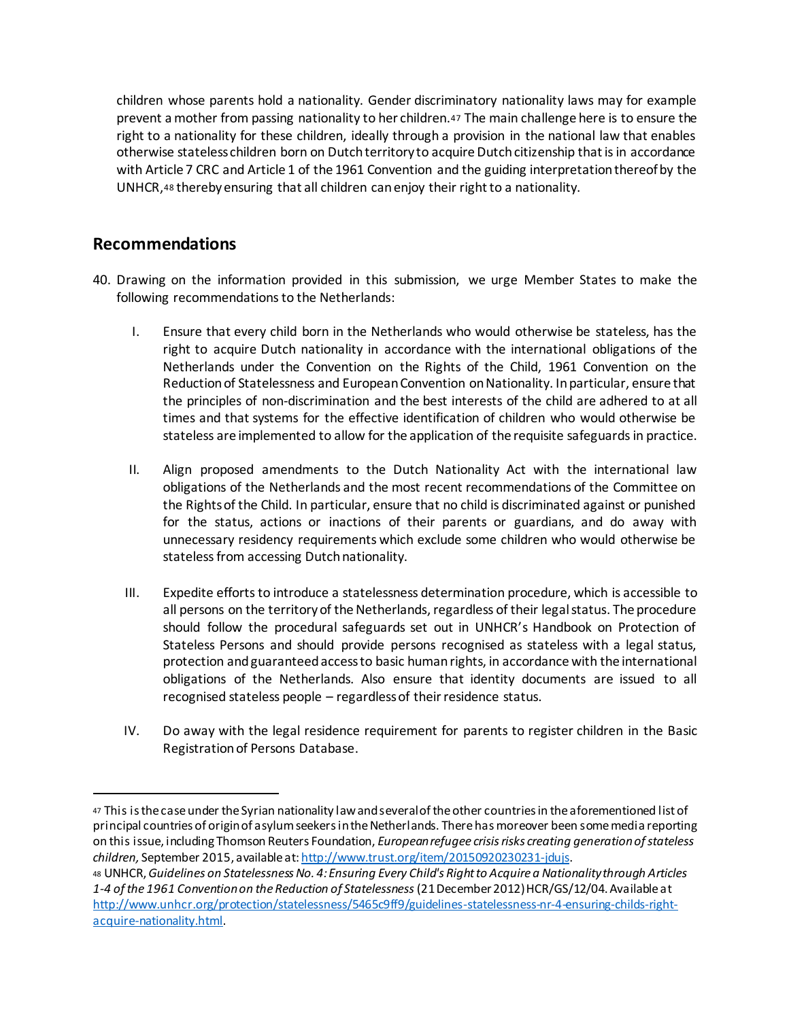children whose parents hold a nationality. Gender discriminatory nationality laws may for example prevent a mother from passing nationality to her children.<sup>47</sup> The main challenge here is to ensure the right to a nationality for these children, ideally through a provision in the national law that enables otherwise stateless children born on Dutch territory to acquire Dutch citizenship that is in accordance with Article 7 CRC and Article 1 of the 1961 Convention and the guiding interpretation thereof by the UNHCR,<sup>48</sup> thereby ensuring that all children can enjoy their right to a nationality.

#### **Recommendations**

- 40. Drawing on the information provided in this submission, we urge Member States to make the following recommendations to the Netherlands:
	- I. Ensure that every child born in the Netherlands who would otherwise be stateless, has the right to acquire Dutch nationality in accordance with the international obligations of the Netherlands under the Convention on the Rights of the Child, 1961 Convention on the Reduction of Statelessness and European Convention on Nationality. In particular, ensure that the principles of non-discrimination and the best interests of the child are adhered to at all times and that systems for the effective identification of children who would otherwise be stateless are implemented to allow for the application of the requisite safeguards in practice.
	- II. Align proposed amendments to the Dutch Nationality Act with the international law obligations of the Netherlands and the most recent recommendations of the Committee on the Rights of the Child. In particular, ensure that no child is discriminated against or punished for the status, actions or inactions of their parents or guardians, and do away with unnecessary residency requirements which exclude some children who would otherwise be stateless from accessing Dutch nationality.
	- III. Expedite efforts to introduce a statelessness determination procedure, which is accessible to all persons on the territory of the Netherlands, regardless of their legal status. The procedure should follow the procedural safeguards set out in UNHCR's Handbook on Protection of Stateless Persons and should provide persons recognised as stateless with a legal status, protection and guaranteed access to basic humanrights, in accordance with the international obligations of the Netherlands. Also ensure that identity documents are issued to all recognised stateless people – regardless of their residence status.
	- IV. Do away with the legal residence requirement for parents to register children in the Basic Registration of Persons Database.

<sup>47</sup> This is the case under the Syrian nationality law and several of the other countries in the aforementioned list of principal countries of origin of asylum seekers in the Netherlands. There has moreover been some media reporting on this issue, including Thomson Reuters Foundation, *European refugee crisis risks creating generation of stateless children,* September 2015, available at: http://www.trust.org/item/20150920230231-jdujs.

<sup>48</sup> UNHCR, *Guidelines on Statelessness No. 4: Ensuring Every Child's Right to Acquire a Nationality through Articles 1-4 of the 1961 Convention on the Reduction of Statelessness* (21 December 2012) HCR/GS/12/04. Available at http://www.unhcr.org/protection/statelessness/5465c9ff9/guidelines-statelessness-nr-4-ensuring-childs-rightacquire-nationality.html.